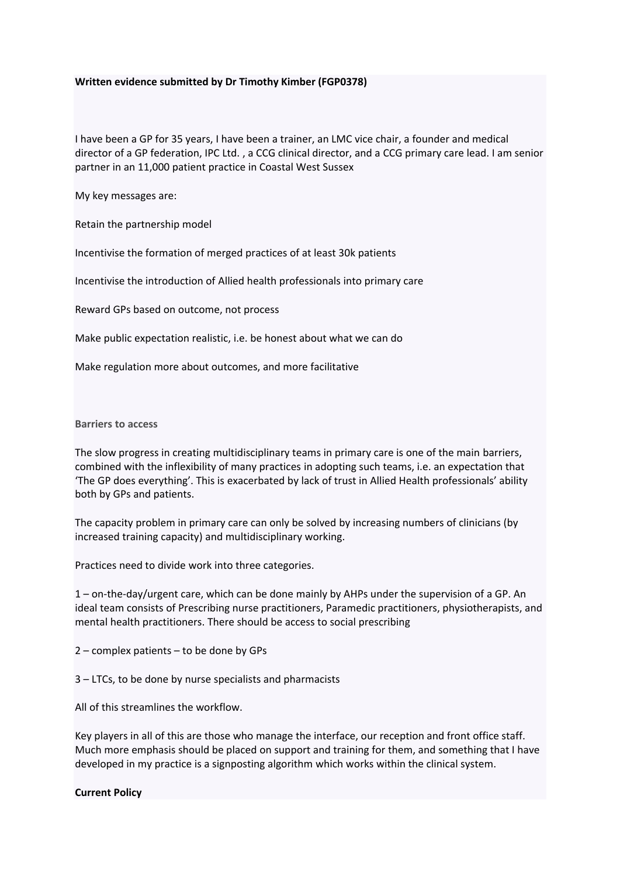## **Written evidence submitted by Dr Timothy Kimber (FGP0378)**

I have been a GP for 35 years, I have been a trainer, an LMC vice chair, a founder and medical director of a GP federation, IPC Ltd. , a CCG clinical director, and a CCG primary care lead. I am senior partner in an 11,000 patient practice in Coastal West Sussex

My key messages are:

Retain the partnership model

Incentivise the formation of merged practices of at least 30k patients

Incentivise the introduction of Allied health professionals into primary care

Reward GPs based on outcome, not process

Make public expectation realistic, i.e. be honest about what we can do

Make regulation more about outcomes, and more facilitative

## **Barriers to access**

The slow progress in creating multidisciplinary teams in primary care is one of the main barriers, combined with the inflexibility of many practices in adopting such teams, i.e. an expectation that 'The GP does everything'. This is exacerbated by lack of trust in Allied Health professionals' ability both by GPs and patients.

The capacity problem in primary care can only be solved by increasing numbers of clinicians (by increased training capacity) and multidisciplinary working.

Practices need to divide work into three categories.

1 – on-the-day/urgent care, which can be done mainly by AHPs under the supervision of a GP. An ideal team consists of Prescribing nurse practitioners, Paramedic practitioners, physiotherapists, and mental health practitioners. There should be access to social prescribing

2 – complex patients – to be done by GPs

3 – LTCs, to be done by nurse specialists and pharmacists

All of this streamlines the workflow.

Key players in all of this are those who manage the interface, our reception and front office staff. Much more emphasis should be placed on support and training for them, and something that I have developed in my practice is a signposting algorithm which works within the clinical system.

## **Current Policy**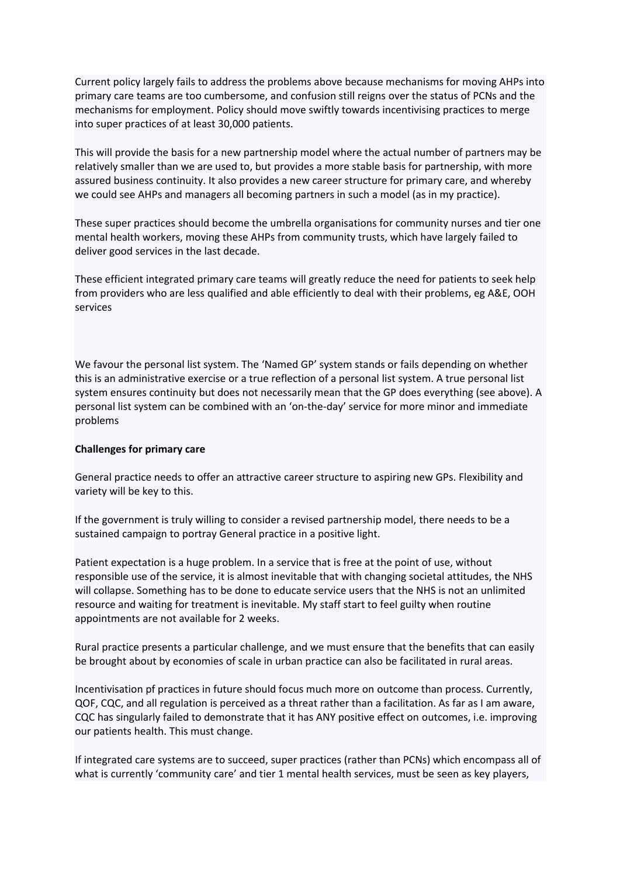Current policy largely fails to address the problems above because mechanisms for moving AHPs into primary care teams are too cumbersome, and confusion still reigns over the status of PCNs and the mechanisms for employment. Policy should move swiftly towards incentivising practices to merge into super practices of at least 30,000 patients.

This will provide the basis for a new partnership model where the actual number of partners may be relatively smaller than we are used to, but provides a more stable basis for partnership, with more assured business continuity. It also provides a new career structure for primary care, and whereby we could see AHPs and managers all becoming partners in such a model (as in my practice).

These super practices should become the umbrella organisations for community nurses and tier one mental health workers, moving these AHPs from community trusts, which have largely failed to deliver good services in the last decade.

These efficient integrated primary care teams will greatly reduce the need for patients to seek help from providers who are less qualified and able efficiently to deal with their problems, eg A&E, OOH services

We favour the personal list system. The 'Named GP' system stands or fails depending on whether this is an administrative exercise or a true reflection of a personal list system. A true personal list system ensures continuity but does not necessarily mean that the GP does everything (see above). A personal list system can be combined with an 'on-the-day' service for more minor and immediate problems

## **Challenges for primary care**

General practice needs to offer an attractive career structure to aspiring new GPs. Flexibility and variety will be key to this.

If the government is truly willing to consider a revised partnership model, there needs to be a sustained campaign to portray General practice in a positive light.

Patient expectation is a huge problem. In a service that is free at the point of use, without responsible use of the service, it is almost inevitable that with changing societal attitudes, the NHS will collapse. Something has to be done to educate service users that the NHS is not an unlimited resource and waiting for treatment is inevitable. My staff start to feel guilty when routine appointments are not available for 2 weeks.

Rural practice presents a particular challenge, and we must ensure that the benefits that can easily be brought about by economies of scale in urban practice can also be facilitated in rural areas.

Incentivisation pf practices in future should focus much more on outcome than process. Currently, QOF, CQC, and all regulation is perceived as a threat rather than a facilitation. As far as I am aware, CQC has singularly failed to demonstrate that it has ANY positive effect on outcomes, i.e. improving our patients health. This must change.

If integrated care systems are to succeed, super practices (rather than PCNs) which encompass all of what is currently 'community care' and tier 1 mental health services, must be seen as key players,